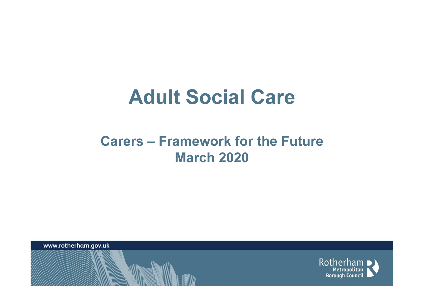# Adult Social Care

## Carers – Framework for the Future March 2020

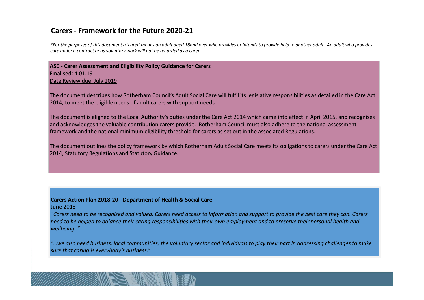#### Carers - Framework for the Future 2020-21

\*For the purposes of this document a 'carer' means an adult aged 18and over who provides or intends to provide help to another adult. An adult who provides care under a contract or as voluntary work will not be regarded as a carer.

ASC - Carer Assessment and Eligibility Policy Guidance for CarersFinalised: 4.01.19Date Review due: July 2019

The document describes how Rotherham Council's Adult Social Care will fulfil its legislative responsibilities as detailed in the Care Act 2014, to meet the eligible needs of adult carers with support needs.

The document is aligned to the Local Authority's duties under the Care Act 2014 which came into effect in April 2015, and recognises and acknowledges the valuable contribution carers provide. Rotherham Council must also adhere to the national assessment framework and the national minimum eligibility threshold for carers as set out in the associated Regulations.

The document outlines the policy framework by which Rotherham Adult Social Care meets its obligations to carers under the Care Act 2014, Statutory Regulations and Statutory Guidance.

#### Carers Action Plan 2018-20 - Department of Health & Social Care

#### June 2018

 "Carers need to be recognised and valued. Carers need access to information and support to provide the best care they can. Carers need to be helped to balance their caring responsibilities with their own employment and to preserve their personal health and wellbeing. "

"...we also need business, local communities, the voluntary sector and individuals to play their part in addressing challenges to make sure that caring is everybody's business."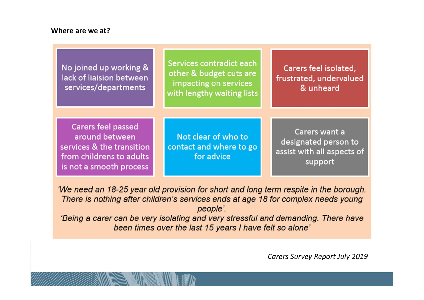#### Where are we at?

| No joined up working &<br>lack of liaision between<br>services/departments                                                      | Services contradict each<br>other & budget cuts are<br>impacting on services<br>with lengthy waiting lists | Carers feel isolated,<br>frustrated, undervalued<br>& unheard                  |
|---------------------------------------------------------------------------------------------------------------------------------|------------------------------------------------------------------------------------------------------------|--------------------------------------------------------------------------------|
| <b>Carers feel passed</b><br>around between<br>services & the transition<br>from childrens to adults<br>is not a smooth process | Not clear of who to<br>contact and where to go<br>for advice                                               | Carers want a<br>designated person to<br>assist with all aspects of<br>support |

'We need an 18-25 year old provision for short and long term respite in the borough. There is nothing after children's services ends at age 18 for complex needs young people'.

'Being a carer can be very isolating and very stressful and demanding. There have been times over the last 15 years I have felt so alone'

Carers Survey Report July 2019

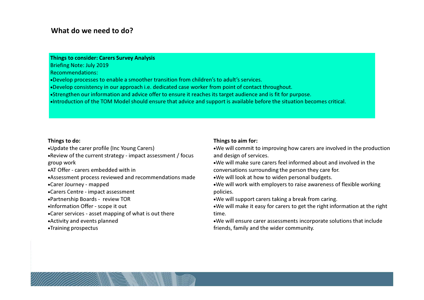#### What do we need to do?

#### Things to consider: Carers Survey Analysis

Briefing Note: July 2019Recommendations:

- •Develop processes to enable a smoother transition from children's to adult's services.
- •Develop consistency in our approach i.e. dedicated case worker from point of contact throughout.
- •Strengthen our information and advice offer to ensure it reaches its target audience and is fit for purpose.
- •Introduction of the TOM Model should ensure that advice and support is available before the situation becomes critical.

#### Things to do:

•Update the carer profile (Inc Young Carers)

 •Review of the current strategy - impact assessment / focus group work

•AT Offer - carers embedded with in

•Assessment process reviewed and recommendations made

•Carer Journey - mapped

•Carers Centre - impact assessment

•Partnership Boards - review TOR

•Information Offer - scope it out

•Carer services - asset mapping of what is out there

•Activity and events planned

•Training prospectus

#### Things to aim for:

•We will commit to improving how carers are involved in the production and design of services.

•We will make sure carers feel informed about and involved in the conversations surrounding the person they care for.

•We will look at how to widen personal budgets.

•We will work with employers to raise awareness of flexible working policies.

•We will support carers taking a break from caring.

•We will make it easy for carers to get the right information at the righttime.

•We will ensure carer assessments incorporate solutions that include friends, family and the wider community.

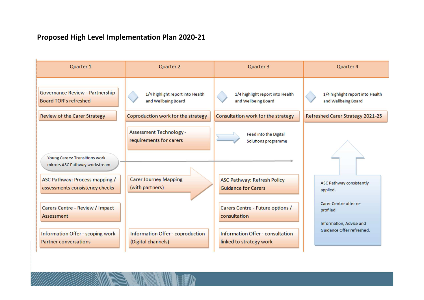### Proposed High Level Implementation Plan 2020-21

| Quarter 1                                                        | <b>Quarter 2</b>                                         | Quarter 3                                                        | Quarter 4                                                     |
|------------------------------------------------------------------|----------------------------------------------------------|------------------------------------------------------------------|---------------------------------------------------------------|
| Governance Review - Partnership<br><b>Board TOR's refreshed</b>  | 1/4 highlight report into Health<br>and Wellbeing Board  | 1/4 highlight report into Health<br>and Wellbeing Board          | 1/4 highlight report into Health<br>and Wellbeing Board       |
| <b>Review of the Carer Strategy</b>                              | Coproduction work for the strategy                       | Consultation work for the strategy                               | <b>Refreshed Carer Strategy 2021-25</b>                       |
| <b>Young Carers: Transitions work</b>                            | <b>Assessment Technology-</b><br>requirements for carers | <b>Feed into the Digital</b><br>Solutions programme              |                                                               |
| mirrors ASC Pathway workstream                                   |                                                          |                                                                  |                                                               |
| ASC Pathway: Process mapping /<br>assessments consistency checks | <b>Carer Journey Mapping</b><br>(with partners)          | <b>ASC Pathway: Refresh Policy</b><br><b>Guidance for Carers</b> | ASC Pathway consistently<br>applied.                          |
| <b>Carers Centre - Review / Impact</b><br>Assessment             |                                                          | Carers Centre - Future options /<br>consultation                 | Carer Centre offer re-<br>profiled<br>Information, Advice and |
| Information Offer - scoping work<br><b>Partner conversations</b> | Information Offer - coproduction<br>(Digital channels)   | Information Offer - consultation<br>linked to strategy work      | Guidance Offer refreshed.                                     |